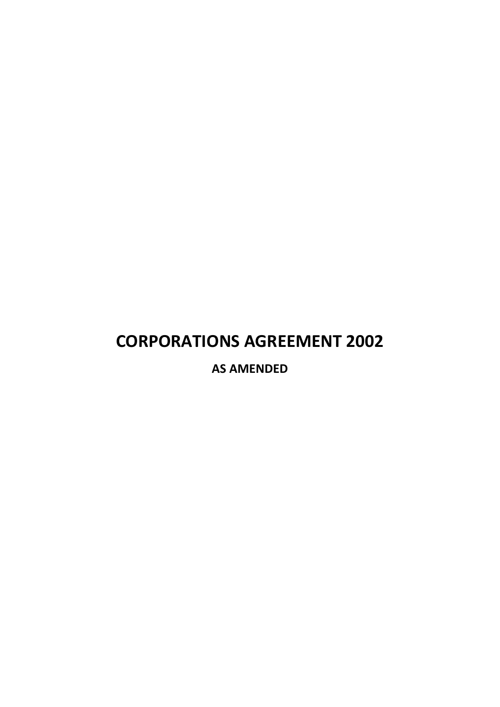# **CORPORATIONS AGREEMENT 2002**

**AS AMENDED**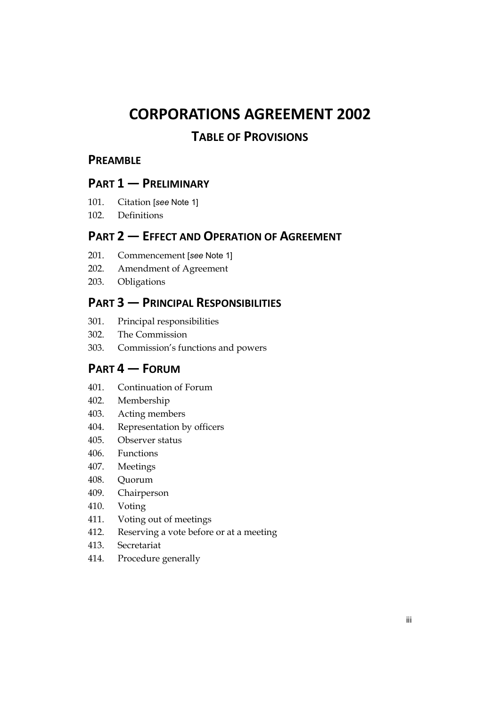# **CORPORATIONS AGREEMENT 2002**

### **TABLE OF PROVISIONS**

### **PREAMBLE**

### **PART 1 — PRELIMINARY**

- 101. Citation [*see* Note 1]
- 102. Definitions

### **PART 2 — EFFECT AND OPERATION OF AGREEMENT**

- 201. Commencement [*see* Note 1]
- 202. Amendment of Agreement
- 203. Obligations

### **PART 3 — PRINCIPAL RESPONSIBILITIES**

- 301. Principal responsibilities
- 302. The Commission
- 303. Commission's functions and powers

### **PART 4 — FORUM**

- 401. Continuation of Forum
- 402. Membership
- 403. Acting members
- 404. Representation by officers
- 405. Observer status
- 406. Functions
- 407. Meetings
- 408. Quorum
- 409. Chairperson
- 410. Voting
- 411. Voting out of meetings
- 412. Reserving a vote before or at a meeting
- 413. Secretariat
- 414. Procedure generally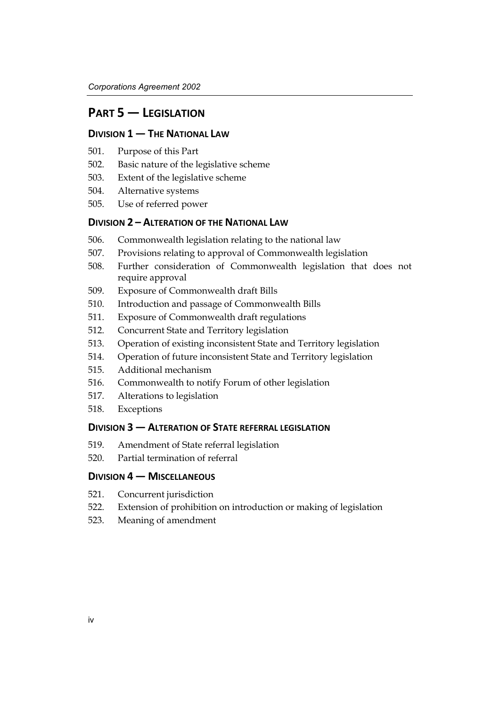### **PART 5 — LEGISLATION**

#### **DIVISION 1 — THE NATIONAL LAW**

- 501. Purpose of this Part
- 502. Basic nature of the legislative scheme
- 503. Extent of the legislative scheme
- 504. Alternative systems
- 505. Use of referred power

#### **DIVISION 2 – ALTERATION OF THE NATIONAL LAW**

- 506. Commonwealth legislation relating to the national law
- 507. Provisions relating to approval of Commonwealth legislation
- 508. Further consideration of Commonwealth legislation that does not require approval
- 509. Exposure of Commonwealth draft Bills
- 510. Introduction and passage of Commonwealth Bills
- 511. Exposure of Commonwealth draft regulations
- 512. Concurrent State and Territory legislation
- 513. Operation of existing inconsistent State and Territory legislation
- 514. Operation of future inconsistent State and Territory legislation
- 515. Additional mechanism
- 516. Commonwealth to notify Forum of other legislation
- 517. Alterations to legislation
- 518. Exceptions

#### **DIVISION 3 — ALTERATION OF STATE REFERRAL LEGISLATION**

- 519. Amendment of State referral legislation
- 520. Partial termination of referral

#### **DIVISION 4 — MISCELLANEOUS**

- 521. Concurrent jurisdiction
- 522. Extension of prohibition on introduction or making of legislation
- 523. Meaning of amendment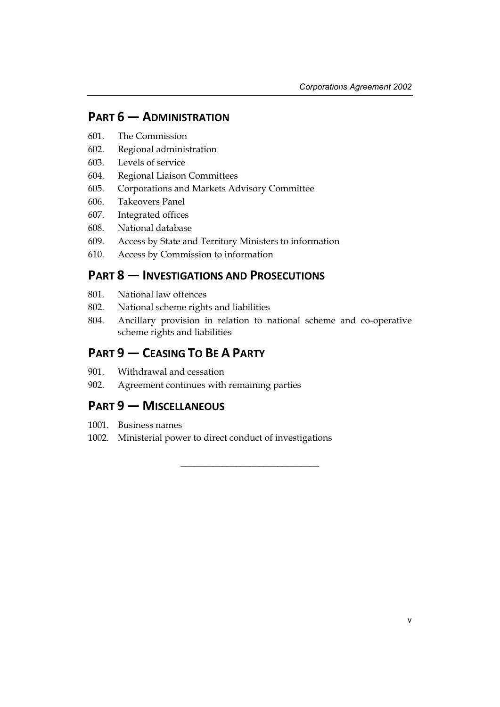### **PART 6 — ADMINISTRATION**

- 601. The Commission
- 602. Regional administration
- 603. Levels of service
- 604. Regional Liaison Committees
- 605. Corporations and Markets Advisory Committee
- 606. Takeovers Panel
- 607. Integrated offices
- 608. National database
- 609. Access by State and Territory Ministers to information
- 610. Access by Commission to information

### **PART 8 — INVESTIGATIONS AND PROSECUTIONS**

- 801. National law offences
- 802. National scheme rights and liabilities
- 804. Ancillary provision in relation to national scheme and co-operative scheme rights and liabilities

\_\_\_\_\_\_\_\_\_\_\_\_\_\_\_\_\_\_\_\_\_\_\_\_\_\_\_\_\_\_

### **PART 9 — CEASING TO BE A PARTY**

- 901. Withdrawal and cessation
- 902. Agreement continues with remaining parties

### **PART 9 — MISCELLANEOUS**

- 1001. Business names
- 1002. Ministerial power to direct conduct of investigations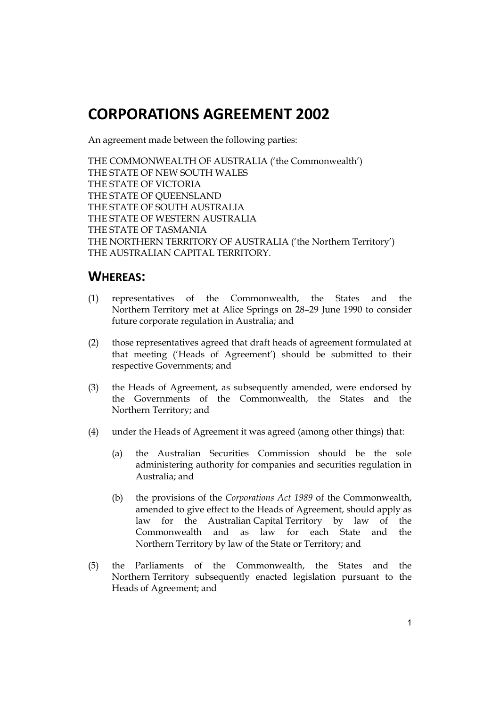# **CORPORATIONS AGREEMENT 2002**

An agreement made between the following parties:

THE COMMONWEALTH OF AUSTRALIA ('the Commonwealth') THE STATE OF NEW SOUTH WALES THE STATE OF VICTORIA THE STATE OF QUEENSLAND THE STATE OF SOUTH AUSTRALIA THE STATE OF WESTERN AUSTRALIA THE STATE OF TASMANIA THE NORTHERN TERRITORY OF AUSTRALIA ('the Northern Territory') THE AUSTRALIAN CAPITAL TERRITORY.

### **WHEREAS:**

- (1) representatives of the Commonwealth, the States and the Northern Territory met at Alice Springs on 28–29 June 1990 to consider future corporate regulation in Australia; and
- (2) those representatives agreed that draft heads of agreement formulated at that meeting ('Heads of Agreement') should be submitted to their respective Governments; and
- (3) the Heads of Agreement, as subsequently amended, were endorsed by the Governments of the Commonwealth, the States and the Northern Territory; and
- (4) under the Heads of Agreement it was agreed (among other things) that:
	- (a) the Australian Securities Commission should be the sole administering authority for companies and securities regulation in Australia; and
	- (b) the provisions of the *Corporations Act 1989* of the Commonwealth, amended to give effect to the Heads of Agreement, should apply as law for the Australian Capital Territory by law of the Commonwealth and as law for each State and the Northern Territory by law of the State or Territory; and
- (5) the Parliaments of the Commonwealth, the States and the Northern Territory subsequently enacted legislation pursuant to the Heads of Agreement; and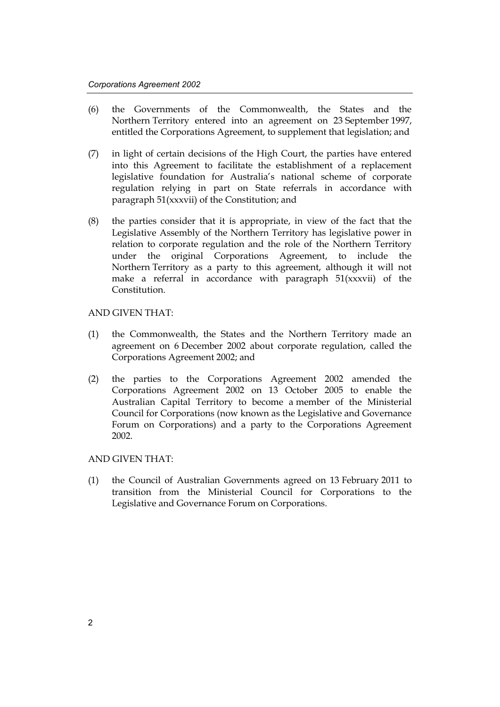- (6) the Governments of the Commonwealth, the States and the Northern Territory entered into an agreement on 23 September 1997, entitled the Corporations Agreement, to supplement that legislation; and
- (7) in light of certain decisions of the High Court, the parties have entered into this Agreement to facilitate the establishment of a replacement legislative foundation for Australia's national scheme of corporate regulation relying in part on State referrals in accordance with paragraph 51(xxxvii) of the Constitution; and
- (8) the parties consider that it is appropriate, in view of the fact that the Legislative Assembly of the Northern Territory has legislative power in relation to corporate regulation and the role of the Northern Territory under the original Corporations Agreement, to include the Northern Territory as a party to this agreement, although it will not make a referral in accordance with paragraph 51(xxxvii) of the Constitution.

#### AND GIVEN THAT:

- (1) the Commonwealth, the States and the Northern Territory made an agreement on 6 December 2002 about corporate regulation, called the Corporations Agreement 2002; and
- (2) the parties to the Corporations Agreement 2002 amended the Corporations Agreement 2002 on 13 October 2005 to enable the Australian Capital Territory to become a member of the Ministerial Council for Corporations (now known as the Legislative and Governance Forum on Corporations) and a party to the Corporations Agreement 2002.

#### AND GIVEN THAT:

(1) the Council of Australian Governments agreed on 13 February 2011 to transition from the Ministerial Council for Corporations to the Legislative and Governance Forum on Corporations.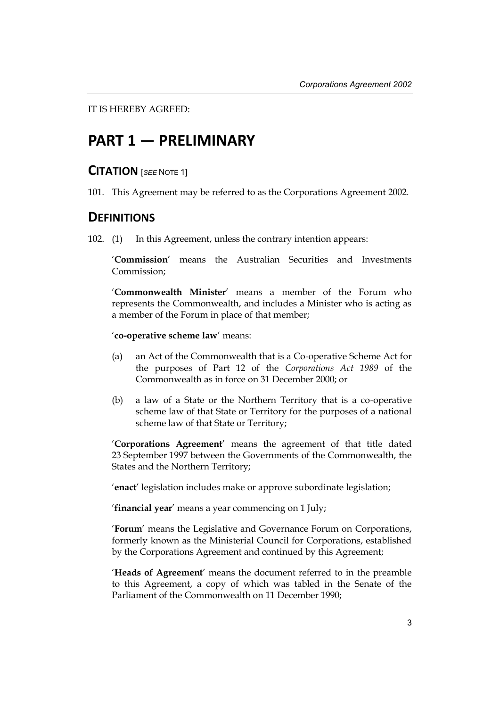IT IS HEREBY AGREED:

# **PART 1 — PRELIMINARY**

### **CITATION** [*SEE* <sup>N</sup>OTE 1]

101. This Agreement may be referred to as the Corporations Agreement 2002.

### **DEFINITIONS**

102. (1) In this Agreement, unless the contrary intention appears:

'**Commission**' means the Australian Securities and Investments Commission;

'**Commonwealth Minister**' means a member of the Forum who represents the Commonwealth, and includes a Minister who is acting as a member of the Forum in place of that member;

#### '**co-operative scheme law**' means:

- (a) an Act of the Commonwealth that is a Co-operative Scheme Act for the purposes of Part 12 of the *Corporations Act 1989* of the Commonwealth as in force on 31 December 2000; or
- (b) a law of a State or the Northern Territory that is a co-operative scheme law of that State or Territory for the purposes of a national scheme law of that State or Territory;

'**Corporations Agreement**' means the agreement of that title dated 23 September 1997 between the Governments of the Commonwealth, the States and the Northern Territory;

'**enact**' legislation includes make or approve subordinate legislation;

'**financial year**' means a year commencing on 1 July;

'**Forum**' means the Legislative and Governance Forum on Corporations, formerly known as the Ministerial Council for Corporations, established by the Corporations Agreement and continued by this Agreement;

'**Heads of Agreement**' means the document referred to in the preamble to this Agreement, a copy of which was tabled in the Senate of the Parliament of the Commonwealth on 11 December 1990;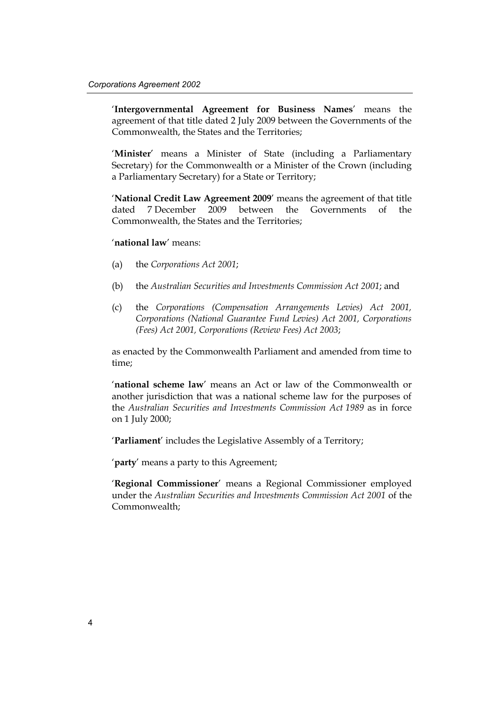'**Intergovernmental Agreement for Business Names**' means the agreement of that title dated 2 July 2009 between the Governments of the Commonwealth, the States and the Territories;

'**Minister**' means a Minister of State (including a Parliamentary Secretary) for the Commonwealth or a Minister of the Crown (including a Parliamentary Secretary) for a State or Territory;

'**National Credit Law Agreement 2009**' means the agreement of that title dated 7 December 2009 between the Governments of the Commonwealth, the States and the Territories;

#### '**national law**' means:

- (a) the *Corporations Act 2001*;
- (b) the *Australian Securities and Investments Commission Act 2001*; and
- (c) the *Corporations (Compensation Arrangements Levies) Act 2001, Corporations (National Guarantee Fund Levies) Act 2001, Corporations (Fees) Act 2001, Corporations (Review Fees) Act 2003*;

as enacted by the Commonwealth Parliament and amended from time to time;

'**national scheme law**' means an Act or law of the Commonwealth or another jurisdiction that was a national scheme law for the purposes of the *Australian Securities and Investments Commission Act 1989* as in force on 1 July 2000;

'**Parliament**' includes the Legislative Assembly of a Territory;

'**party**' means a party to this Agreement;

'**Regional Commissioner**' means a Regional Commissioner employed under the *Australian Securities and Investments Commission Act 2001* of the Commonwealth;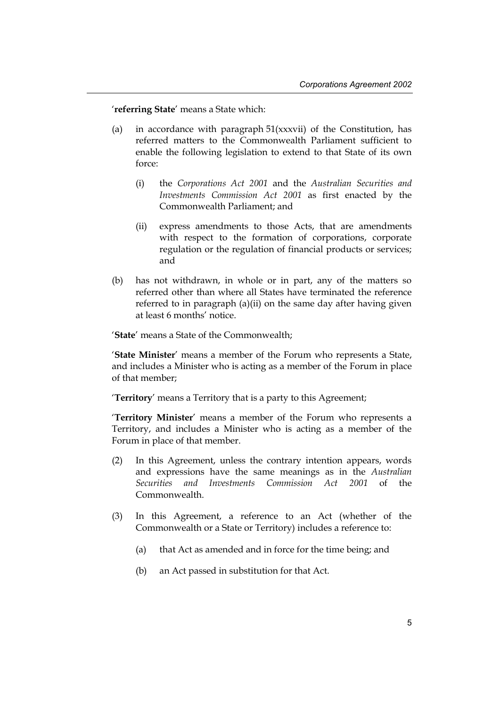'**referring State**' means a State which:

- (a) in accordance with paragraph 51(xxxvii) of the Constitution, has referred matters to the Commonwealth Parliament sufficient to enable the following legislation to extend to that State of its own force:
	- (i) the *Corporations Act 2001* and the *Australian Securities and Investments Commission Act 2001* as first enacted by the Commonwealth Parliament; and
	- (ii) express amendments to those Acts, that are amendments with respect to the formation of corporations, corporate regulation or the regulation of financial products or services; and
- (b) has not withdrawn, in whole or in part, any of the matters so referred other than where all States have terminated the reference referred to in paragraph (a)(ii) on the same day after having given at least 6 months' notice.

'**State**' means a State of the Commonwealth;

'**State Minister**' means a member of the Forum who represents a State, and includes a Minister who is acting as a member of the Forum in place of that member;

'**Territory**' means a Territory that is a party to this Agreement;

'**Territory Minister**' means a member of the Forum who represents a Territory, and includes a Minister who is acting as a member of the Forum in place of that member.

- (2) In this Agreement, unless the contrary intention appears, words and expressions have the same meanings as in the *Australian Securities and Investments Commission Act 2001* of the Commonwealth.
- (3) In this Agreement, a reference to an Act (whether of the Commonwealth or a State or Territory) includes a reference to:
	- (a) that Act as amended and in force for the time being; and
	- (b) an Act passed in substitution for that Act.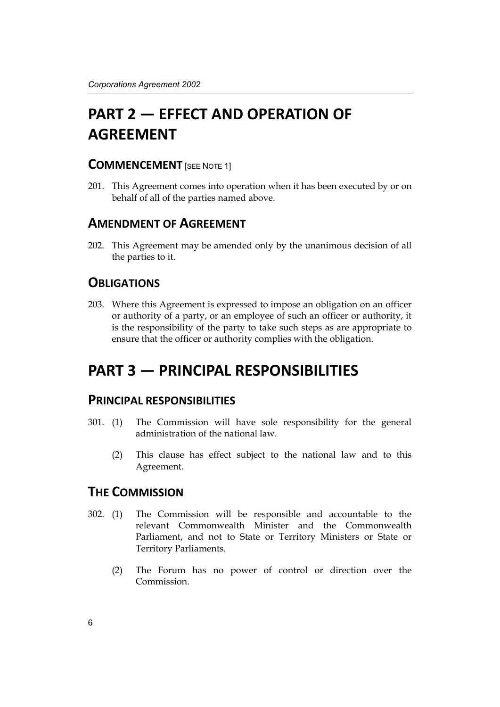# **PART 2 — EFFECT AND OPERATION OF AGREEMENT**

#### **COMMENCEMENT** [SEE NOTE 1]

201. This Agreement comes into operation when it has been executed by or on behalf of all of the parties named above.

### **AMENDMENT OF AGREEMENT**

202. This Agreement may be amended only by the unanimous decision of all the parties to it.

### **OBLIGATIONS**

203. Where this Agreement is expressed to impose an obligation on an officer or authority of a party, or an employee of such an officer or authority, it is the responsibility of the party to take such steps as are appropriate to ensure that the officer or authority complies with the obligation.

# **PART 3 — PRINCIPAL RESPONSIBILITIES**

### **PRINCIPAL RESPONSIBILITIES**

- 301. (1) The Commission will have sole responsibility for the general administration of the national law.
	- (2) This clause has effect subject to the national law and to this Agreement.

### **THE COMMISSION**

- 302. (1) The Commission will be responsible and accountable to the relevant Commonwealth Minister and the Commonwealth Parliament, and not to State or Territory Ministers or State or Territory Parliaments.
	- (2) The Forum has no power of control or direction over the Commission.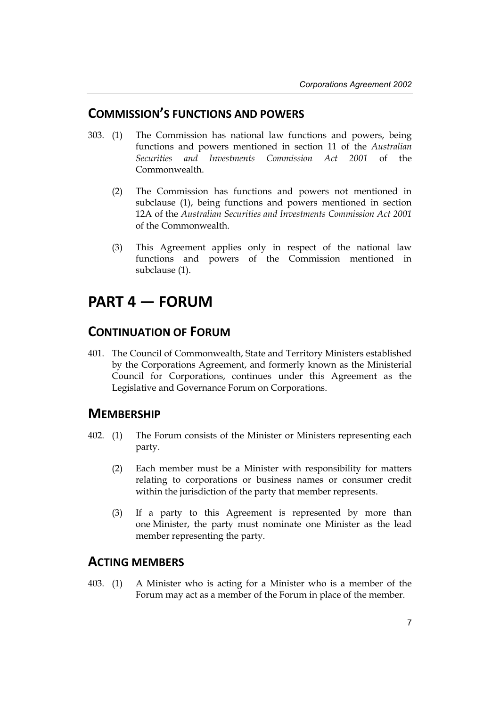### **COMMISSION'S FUNCTIONS AND POWERS**

- 303. (1) The Commission has national law functions and powers, being functions and powers mentioned in section 11 of the *Australian Securities and Investments Commission Act 2001* of the Commonwealth.
	- (2) The Commission has functions and powers not mentioned in subclause (1), being functions and powers mentioned in section 12A of the *Australian Securities and Investments Commission Act 2001* of the Commonwealth.
	- (3) This Agreement applies only in respect of the national law functions and powers of the Commission mentioned in subclause (1).

# **PART 4 — FORUM**

### **CONTINUATION OF FORUM**

401. The Council of Commonwealth, State and Territory Ministers established by the Corporations Agreement, and formerly known as the Ministerial Council for Corporations, continues under this Agreement as the Legislative and Governance Forum on Corporations.

#### **MEMBERSHIP**

- 402. (1) The Forum consists of the Minister or Ministers representing each party.
	- (2) Each member must be a Minister with responsibility for matters relating to corporations or business names or consumer credit within the jurisdiction of the party that member represents.
	- (3) If a party to this Agreement is represented by more than one Minister, the party must nominate one Minister as the lead member representing the party.

### **ACTING MEMBERS**

403. (1) A Minister who is acting for a Minister who is a member of the Forum may act as a member of the Forum in place of the member.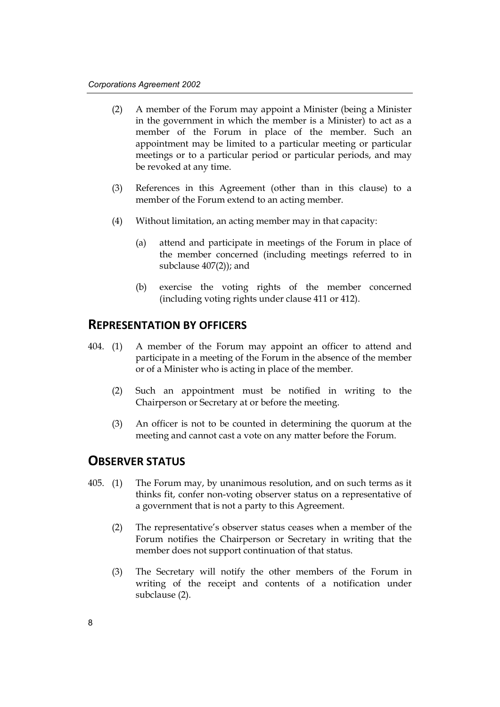- (2) A member of the Forum may appoint a Minister (being a Minister in the government in which the member is a Minister) to act as a member of the Forum in place of the member. Such an appointment may be limited to a particular meeting or particular meetings or to a particular period or particular periods, and may be revoked at any time.
- (3) References in this Agreement (other than in this clause) to a member of the Forum extend to an acting member.
- (4) Without limitation, an acting member may in that capacity:
	- (a) attend and participate in meetings of the Forum in place of the member concerned (including meetings referred to in subclause 407(2)); and
	- (b) exercise the voting rights of the member concerned (including voting rights under clause 411 or 412).

#### **REPRESENTATION BY OFFICERS**

- 404. (1) A member of the Forum may appoint an officer to attend and participate in a meeting of the Forum in the absence of the member or of a Minister who is acting in place of the member.
	- (2) Such an appointment must be notified in writing to the Chairperson or Secretary at or before the meeting.
	- (3) An officer is not to be counted in determining the quorum at the meeting and cannot cast a vote on any matter before the Forum.

#### **OBSERVER STATUS**

- 405. (1) The Forum may, by unanimous resolution, and on such terms as it thinks fit, confer non-voting observer status on a representative of a government that is not a party to this Agreement.
	- (2) The representative's observer status ceases when a member of the Forum notifies the Chairperson or Secretary in writing that the member does not support continuation of that status.
	- (3) The Secretary will notify the other members of the Forum in writing of the receipt and contents of a notification under subclause (2).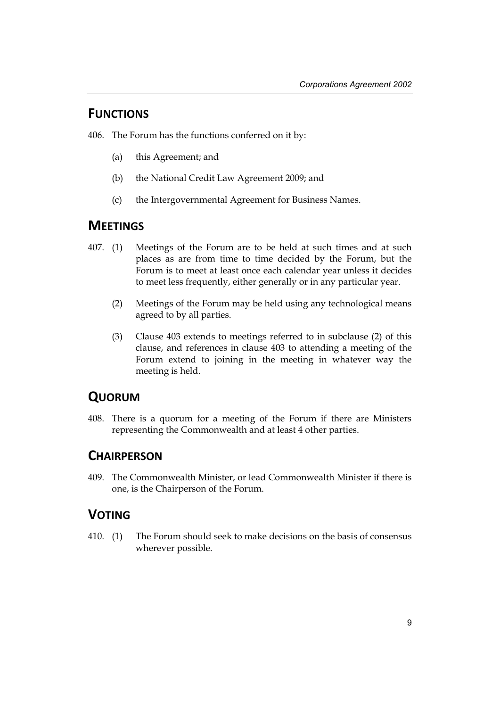### **FUNCTIONS**

406. The Forum has the functions conferred on it by:

- (a) this Agreement; and
- (b) the National Credit Law Agreement 2009; and
- (c) the Intergovernmental Agreement for Business Names.

### **MEETINGS**

- 407. (1) Meetings of the Forum are to be held at such times and at such places as are from time to time decided by the Forum, but the Forum is to meet at least once each calendar year unless it decides to meet less frequently, either generally or in any particular year.
	- (2) Meetings of the Forum may be held using any technological means agreed to by all parties.
	- (3) Clause 403 extends to meetings referred to in subclause (2) of this clause, and references in clause 403 to attending a meeting of the Forum extend to joining in the meeting in whatever way the meeting is held.

### **QUORUM**

408. There is a quorum for a meeting of the Forum if there are Ministers representing the Commonwealth and at least 4 other parties.

### **CHAIRPERSON**

409. The Commonwealth Minister, or lead Commonwealth Minister if there is one, is the Chairperson of the Forum.

### **VOTING**

410. (1) The Forum should seek to make decisions on the basis of consensus wherever possible.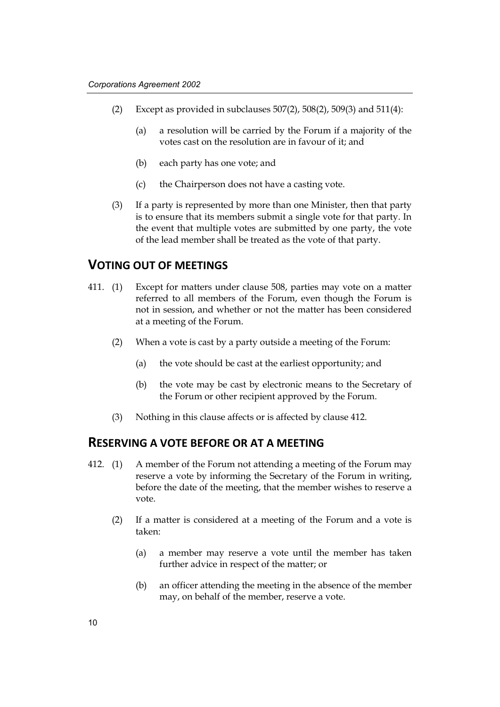- (2) Except as provided in subclauses 507(2), 508(2), 509(3) and 511(4):
	- (a) a resolution will be carried by the Forum if a majority of the votes cast on the resolution are in favour of it; and
	- (b) each party has one vote; and
	- (c) the Chairperson does not have a casting vote.
- (3) If a party is represented by more than one Minister, then that party is to ensure that its members submit a single vote for that party. In the event that multiple votes are submitted by one party, the vote of the lead member shall be treated as the vote of that party.

### **VOTING OUT OF MEETINGS**

- 411. (1) Except for matters under clause 508, parties may vote on a matter referred to all members of the Forum, even though the Forum is not in session, and whether or not the matter has been considered at a meeting of the Forum.
	- (2) When a vote is cast by a party outside a meeting of the Forum:
		- (a) the vote should be cast at the earliest opportunity; and
		- (b) the vote may be cast by electronic means to the Secretary of the Forum or other recipient approved by the Forum.
	- (3) Nothing in this clause affects or is affected by clause 412.

#### **RESERVING A VOTE BEFORE OR AT A MEETING**

- 412. (1) A member of the Forum not attending a meeting of the Forum may reserve a vote by informing the Secretary of the Forum in writing, before the date of the meeting, that the member wishes to reserve a vote.
	- (2) If a matter is considered at a meeting of the Forum and a vote is taken:
		- (a) a member may reserve a vote until the member has taken further advice in respect of the matter; or
		- (b) an officer attending the meeting in the absence of the member may, on behalf of the member, reserve a vote.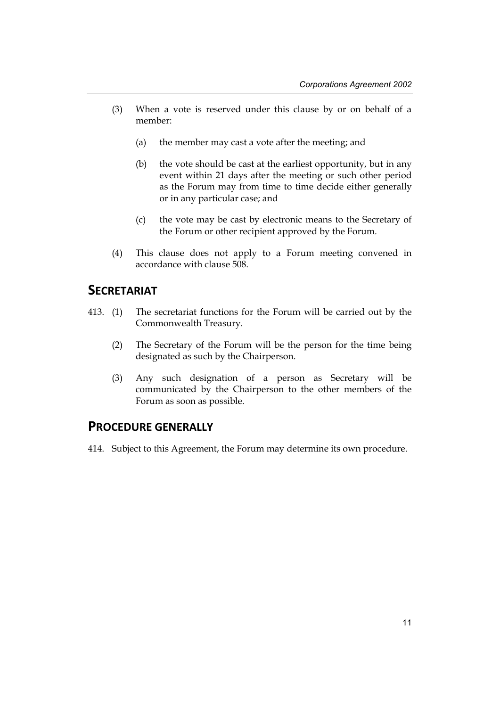- (3) When a vote is reserved under this clause by or on behalf of a member:
	- (a) the member may cast a vote after the meeting; and
	- (b) the vote should be cast at the earliest opportunity, but in any event within 21 days after the meeting or such other period as the Forum may from time to time decide either generally or in any particular case; and
	- (c) the vote may be cast by electronic means to the Secretary of the Forum or other recipient approved by the Forum.
- (4) This clause does not apply to a Forum meeting convened in accordance with clause 508.

### **SECRETARIAT**

- 413. (1) The secretariat functions for the Forum will be carried out by the Commonwealth Treasury.
	- (2) The Secretary of the Forum will be the person for the time being designated as such by the Chairperson.
	- (3) Any such designation of a person as Secretary will be communicated by the Chairperson to the other members of the Forum as soon as possible.

### **PROCEDURE GENERALLY**

414. Subject to this Agreement, the Forum may determine its own procedure.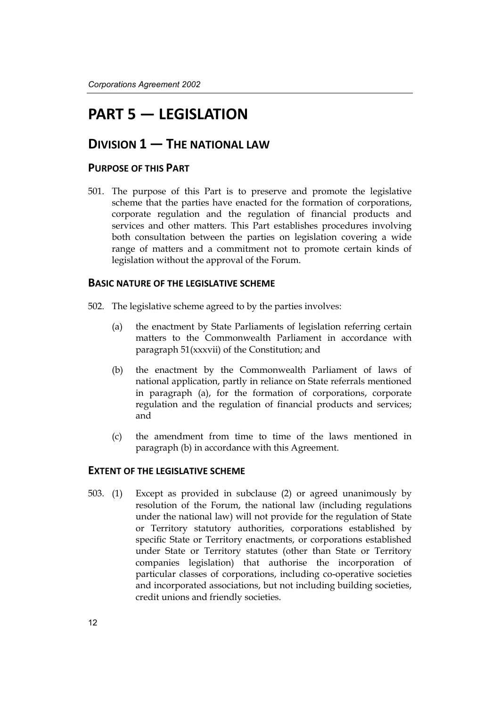# **PART 5 — LEGISLATION**

### **DIVISION 1 — THE NATIONAL LAW**

#### **PURPOSE OF THIS PART**

501. The purpose of this Part is to preserve and promote the legislative scheme that the parties have enacted for the formation of corporations, corporate regulation and the regulation of financial products and services and other matters. This Part establishes procedures involving both consultation between the parties on legislation covering a wide range of matters and a commitment not to promote certain kinds of legislation without the approval of the Forum.

#### **BASIC NATURE OF THE LEGISLATIVE SCHEME**

- 502. The legislative scheme agreed to by the parties involves:
	- (a) the enactment by State Parliaments of legislation referring certain matters to the Commonwealth Parliament in accordance with paragraph 51(xxxvii) of the Constitution; and
	- (b) the enactment by the Commonwealth Parliament of laws of national application, partly in reliance on State referrals mentioned in paragraph (a), for the formation of corporations, corporate regulation and the regulation of financial products and services; and
	- (c) the amendment from time to time of the laws mentioned in paragraph (b) in accordance with this Agreement.

#### **EXTENT OF THE LEGISLATIVE SCHEME**

503. (1) Except as provided in subclause (2) or agreed unanimously by resolution of the Forum, the national law (including regulations under the national law) will not provide for the regulation of State or Territory statutory authorities, corporations established by specific State or Territory enactments, or corporations established under State or Territory statutes (other than State or Territory companies legislation) that authorise the incorporation of particular classes of corporations, including co-operative societies and incorporated associations, but not including building societies, credit unions and friendly societies.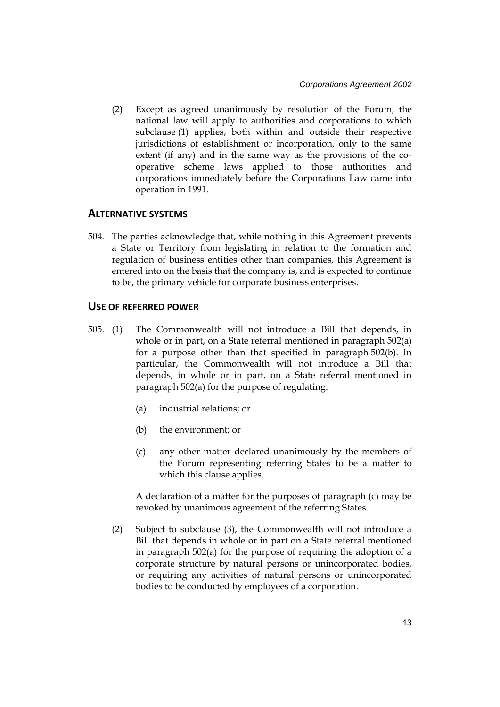(2) Except as agreed unanimously by resolution of the Forum, the national law will apply to authorities and corporations to which subclause (1) applies, both within and outside their respective jurisdictions of establishment or incorporation, only to the same extent (if any) and in the same way as the provisions of the cooperative scheme laws applied to those authorities and corporations immediately before the Corporations Law came into operation in 1991.

#### **ALTERNATIVE SYSTEMS**

504. The parties acknowledge that, while nothing in this Agreement prevents a State or Territory from legislating in relation to the formation and regulation of business entities other than companies, this Agreement is entered into on the basis that the company is, and is expected to continue to be, the primary vehicle for corporate business enterprises.

#### **USE OF REFERRED POWER**

- 505. (1) The Commonwealth will not introduce a Bill that depends, in whole or in part, on a State referral mentioned in paragraph 502(a) for a purpose other than that specified in paragraph 502(b). In particular, the Commonwealth will not introduce a Bill that depends, in whole or in part, on a State referral mentioned in paragraph 502(a) for the purpose of regulating:
	- (a) industrial relations; or
	- (b) the environment; or
	- (c) any other matter declared unanimously by the members of the Forum representing referring States to be a matter to which this clause applies.

A declaration of a matter for the purposes of paragraph (c) may be revoked by unanimous agreement of the referring States.

(2) Subject to subclause (3), the Commonwealth will not introduce a Bill that depends in whole or in part on a State referral mentioned in paragraph 502(a) for the purpose of requiring the adoption of a corporate structure by natural persons or unincorporated bodies, or requiring any activities of natural persons or unincorporated bodies to be conducted by employees of a corporation.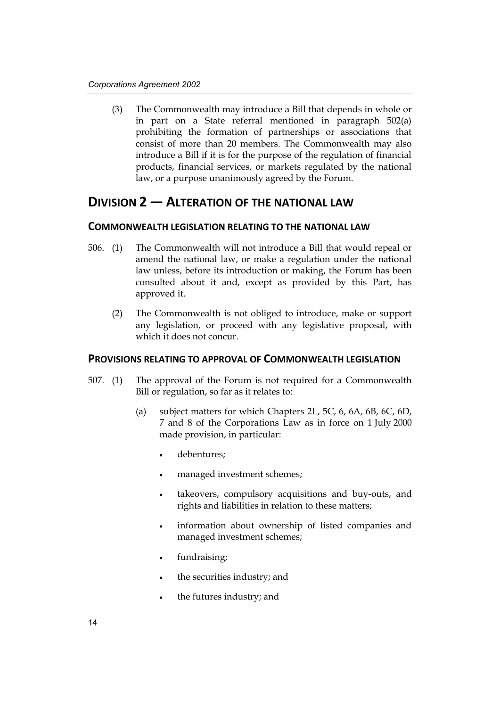(3) The Commonwealth may introduce a Bill that depends in whole or in part on a State referral mentioned in paragraph 502(a) prohibiting the formation of partnerships or associations that consist of more than 20 members. The Commonwealth may also introduce a Bill if it is for the purpose of the regulation of financial products, financial services, or markets regulated by the national law, or a purpose unanimously agreed by the Forum.

### **DIVISION 2 — ALTERATION OF THE NATIONAL LAW**

#### **COMMONWEALTH LEGISLATION RELATING TO THE NATIONAL LAW**

- 506. (1) The Commonwealth will not introduce a Bill that would repeal or amend the national law, or make a regulation under the national law unless, before its introduction or making, the Forum has been consulted about it and, except as provided by this Part, has approved it.
	- (2) The Commonwealth is not obliged to introduce, make or support any legislation, or proceed with any legislative proposal, with which it does not concur.

#### **PROVISIONS RELATING TO APPROVAL OF COMMONWEALTH LEGISLATION**

- 507. (1) The approval of the Forum is not required for a Commonwealth Bill or regulation, so far as it relates to:
	- (a) subject matters for which Chapters 2L, 5C, 6, 6A, 6B, 6C, 6D, 7 and 8 of the Corporations Law as in force on 1 July 2000 made provision, in particular:
		- debentures;
		- managed investment schemes;
		- takeovers, compulsory acquisitions and buy-outs, and rights and liabilities in relation to these matters;
		- information about ownership of listed companies and managed investment schemes;
		- fundraising;
		- the securities industry; and
		- the futures industry; and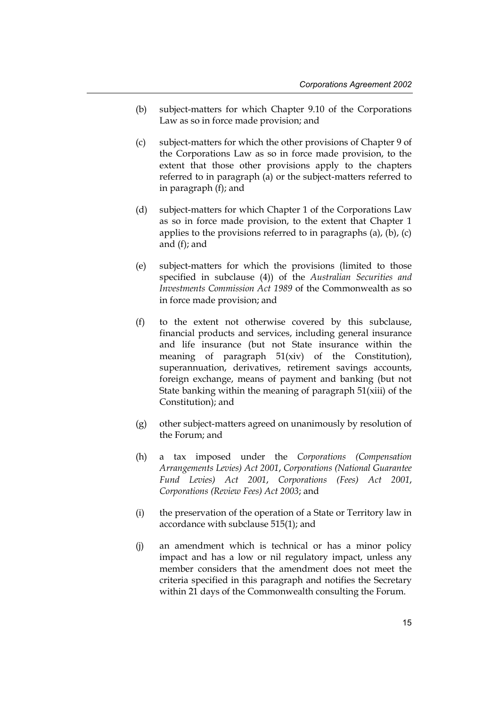- (b) subject-matters for which Chapter 9.10 of the Corporations Law as so in force made provision; and
- (c) subject-matters for which the other provisions of Chapter 9 of the Corporations Law as so in force made provision, to the extent that those other provisions apply to the chapters referred to in paragraph (a) or the subject-matters referred to in paragraph (f); and
- (d) subject-matters for which Chapter 1 of the Corporations Law as so in force made provision, to the extent that Chapter 1 applies to the provisions referred to in paragraphs  $(a)$ ,  $(b)$ ,  $(c)$ and (f); and
- (e) subject-matters for which the provisions (limited to those specified in subclause (4)) of the *Australian Securities and Investments Commission Act 1989* of the Commonwealth as so in force made provision; and
- (f) to the extent not otherwise covered by this subclause, financial products and services, including general insurance and life insurance (but not State insurance within the meaning of paragraph 51(xiv) of the Constitution), superannuation, derivatives, retirement savings accounts, foreign exchange, means of payment and banking (but not State banking within the meaning of paragraph 51(xiii) of the Constitution); and
- (g) other subject-matters agreed on unanimously by resolution of the Forum; and
- (h) a tax imposed under the *Corporations (Compensation Arrangements Levies) Act 2001*, *Corporations (National Guarantee Fund Levies) Act 2001*, *Corporations (Fees) Act 2001*, *Corporations (Review Fees) Act 2003*; and
- (i) the preservation of the operation of a State or Territory law in accordance with subclause 515(1); and
- (j) an amendment which is technical or has a minor policy impact and has a low or nil regulatory impact, unless any member considers that the amendment does not meet the criteria specified in this paragraph and notifies the Secretary within 21 days of the Commonwealth consulting the Forum.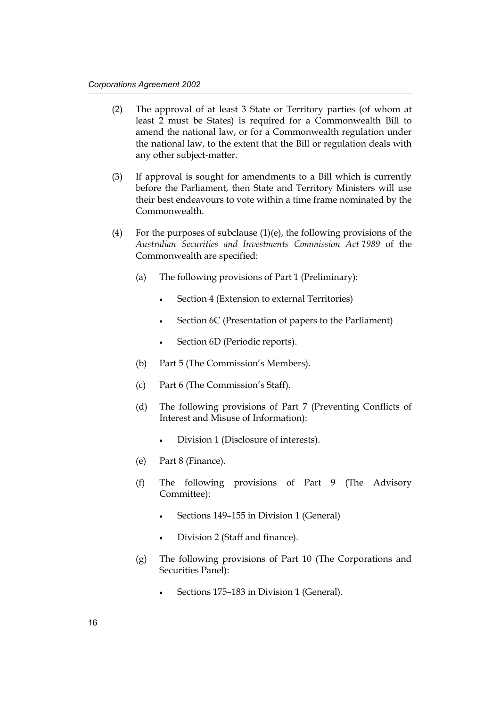- (2) The approval of at least 3 State or Territory parties (of whom at least 2 must be States) is required for a Commonwealth Bill to amend the national law, or for a Commonwealth regulation under the national law, to the extent that the Bill or regulation deals with any other subject-matter.
- (3) If approval is sought for amendments to a Bill which is currently before the Parliament, then State and Territory Ministers will use their best endeavours to vote within a time frame nominated by the Commonwealth.
- (4) For the purposes of subclause  $(1)(e)$ , the following provisions of the *Australian Securities and Investments Commission Act 1989* of the Commonwealth are specified:
	- (a) The following provisions of Part 1 (Preliminary):
		- Section 4 (Extension to external Territories)
		- Section 6C (Presentation of papers to the Parliament)
		- Section 6D (Periodic reports).
	- (b) Part 5 (The Commission's Members).
	- (c) Part 6 (The Commission's Staff).
	- (d) The following provisions of Part 7 (Preventing Conflicts of Interest and Misuse of Information):
		- Division 1 (Disclosure of interests).
	- (e) Part 8 (Finance).
	- (f) The following provisions of Part 9 (The Advisory Committee):
		- Sections 149-155 in Division 1 (General)
		- Division 2 (Staff and finance).
	- (g) The following provisions of Part 10 (The Corporations and Securities Panel):
		- Sections 175–183 in Division 1 (General).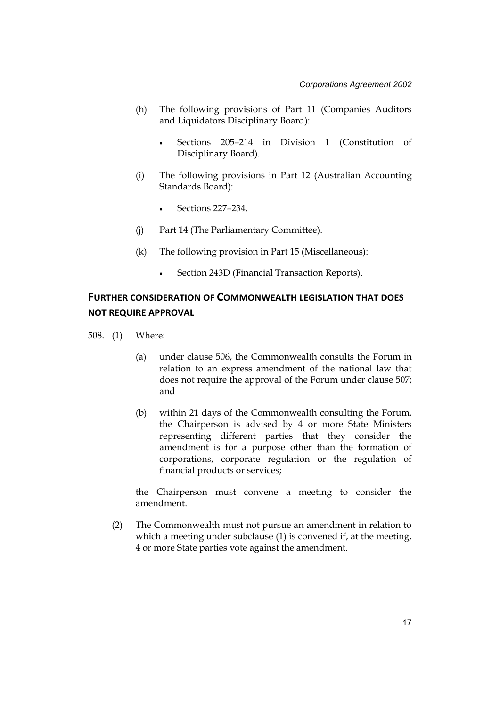- (h) The following provisions of Part 11 (Companies Auditors and Liquidators Disciplinary Board):
	- Sections 205–214 in Division 1 (Constitution of Disciplinary Board).
- (i) The following provisions in Part 12 (Australian Accounting Standards Board):
	- Sections 227–234.
- (j) Part 14 (The Parliamentary Committee).
- (k) The following provision in Part 15 (Miscellaneous):
	- Section 243D (Financial Transaction Reports).

### **FURTHER CONSIDERATION OF COMMONWEALTH LEGISLATION THAT DOES NOT REQUIRE APPROVAL**

- 508. (1) Where:
	- (a) under clause 506, the Commonwealth consults the Forum in relation to an express amendment of the national law that does not require the approval of the Forum under clause 507; and
	- (b) within 21 days of the Commonwealth consulting the Forum, the Chairperson is advised by 4 or more State Ministers representing different parties that they consider the amendment is for a purpose other than the formation of corporations, corporate regulation or the regulation of financial products or services;

the Chairperson must convene a meeting to consider the amendment.

(2) The Commonwealth must not pursue an amendment in relation to which a meeting under subclause (1) is convened if, at the meeting, 4 or more State parties vote against the amendment.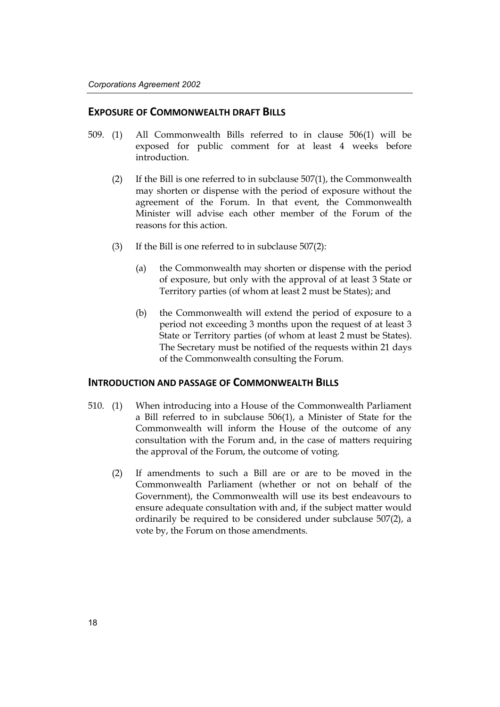#### **EXPOSURE OF COMMONWEALTH DRAFT BILLS**

- 509. (1) All Commonwealth Bills referred to in clause 506(1) will be exposed for public comment for at least 4 weeks before introduction.
	- (2) If the Bill is one referred to in subclause 507(1), the Commonwealth may shorten or dispense with the period of exposure without the agreement of the Forum. In that event, the Commonwealth Minister will advise each other member of the Forum of the reasons for this action.
	- (3) If the Bill is one referred to in subclause 507(2):
		- (a) the Commonwealth may shorten or dispense with the period of exposure, but only with the approval of at least 3 State or Territory parties (of whom at least 2 must be States); and
		- (b) the Commonwealth will extend the period of exposure to a period not exceeding 3 months upon the request of at least 3 State or Territory parties (of whom at least 2 must be States). The Secretary must be notified of the requests within 21 days of the Commonwealth consulting the Forum.

#### **INTRODUCTION AND PASSAGE OF COMMONWEALTH BILLS**

- 510. (1) When introducing into a House of the Commonwealth Parliament a Bill referred to in subclause 506(1), a Minister of State for the Commonwealth will inform the House of the outcome of any consultation with the Forum and, in the case of matters requiring the approval of the Forum, the outcome of voting.
	- (2) If amendments to such a Bill are or are to be moved in the Commonwealth Parliament (whether or not on behalf of the Government), the Commonwealth will use its best endeavours to ensure adequate consultation with and, if the subject matter would ordinarily be required to be considered under subclause 507(2), a vote by, the Forum on those amendments.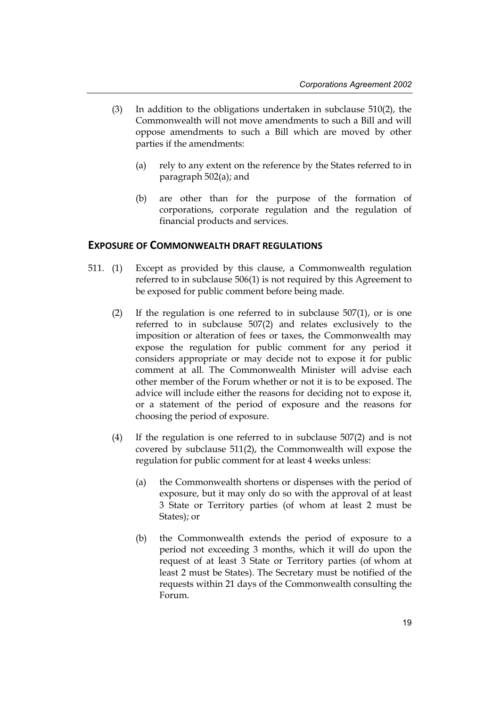- (3) In addition to the obligations undertaken in subclause 510(2), the Commonwealth will not move amendments to such a Bill and will oppose amendments to such a Bill which are moved by other parties if the amendments:
	- (a) rely to any extent on the reference by the States referred to in paragraph 502(a); and
	- (b) are other than for the purpose of the formation of corporations, corporate regulation and the regulation of financial products and services.

#### **EXPOSURE OF COMMONWEALTH DRAFT REGULATIONS**

- 511. (1) Except as provided by this clause, a Commonwealth regulation referred to in subclause 506(1) is not required by this Agreement to be exposed for public comment before being made.
	- (2) If the regulation is one referred to in subclause 507(1), or is one referred to in subclause 507(2) and relates exclusively to the imposition or alteration of fees or taxes, the Commonwealth may expose the regulation for public comment for any period it considers appropriate or may decide not to expose it for public comment at all. The Commonwealth Minister will advise each other member of the Forum whether or not it is to be exposed. The advice will include either the reasons for deciding not to expose it, or a statement of the period of exposure and the reasons for choosing the period of exposure.
	- (4) If the regulation is one referred to in subclause 507(2) and is not covered by subclause 511(2), the Commonwealth will expose the regulation for public comment for at least 4 weeks unless:
		- (a) the Commonwealth shortens or dispenses with the period of exposure, but it may only do so with the approval of at least 3 State or Territory parties (of whom at least 2 must be States); or
		- (b) the Commonwealth extends the period of exposure to a period not exceeding 3 months, which it will do upon the request of at least 3 State or Territory parties (of whom at least 2 must be States). The Secretary must be notified of the requests within 21 days of the Commonwealth consulting the Forum.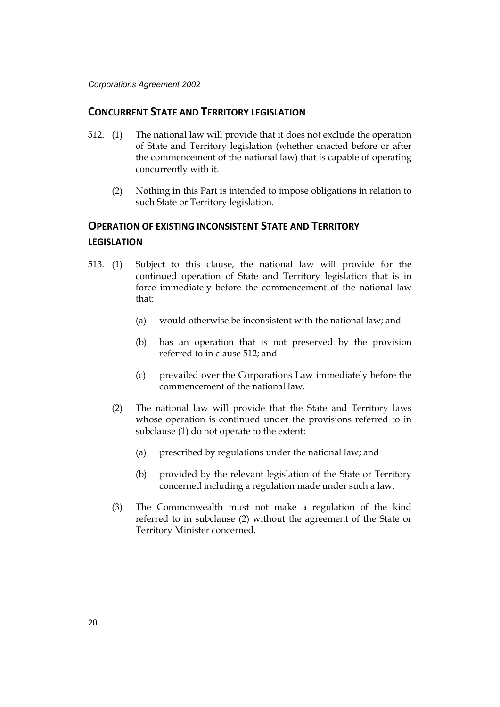#### **CONCURRENT STATE AND TERRITORY LEGISLATION**

- 512. (1) The national law will provide that it does not exclude the operation of State and Territory legislation (whether enacted before or after the commencement of the national law) that is capable of operating concurrently with it.
	- (2) Nothing in this Part is intended to impose obligations in relation to such State or Territory legislation.

### **OPERATION OF EXISTING INCONSISTENT STATE AND TERRITORY LEGISLATION**

- 513. (1) Subject to this clause, the national law will provide for the continued operation of State and Territory legislation that is in force immediately before the commencement of the national law that:
	- (a) would otherwise be inconsistent with the national law; and
	- (b) has an operation that is not preserved by the provision referred to in clause 512; and
	- (c) prevailed over the Corporations Law immediately before the commencement of the national law.
	- (2) The national law will provide that the State and Territory laws whose operation is continued under the provisions referred to in subclause (1) do not operate to the extent:
		- (a) prescribed by regulations under the national law; and
		- (b) provided by the relevant legislation of the State or Territory concerned including a regulation made under such a law.
	- (3) The Commonwealth must not make a regulation of the kind referred to in subclause (2) without the agreement of the State or Territory Minister concerned.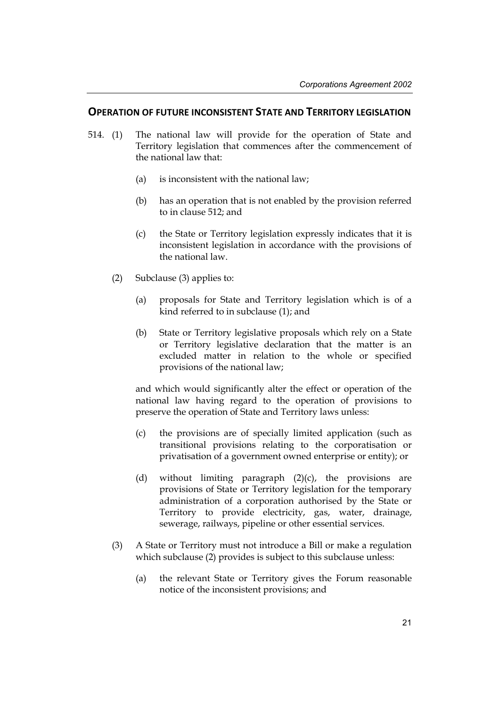#### **OPERATION OF FUTURE INCONSISTENT STATE AND TERRITORY LEGISLATION**

- 514. (1) The national law will provide for the operation of State and Territory legislation that commences after the commencement of the national law that:
	- (a) is inconsistent with the national law;
	- (b) has an operation that is not enabled by the provision referred to in clause 512; and
	- (c) the State or Territory legislation expressly indicates that it is inconsistent legislation in accordance with the provisions of the national law.
	- (2) Subclause (3) applies to:
		- (a) proposals for State and Territory legislation which is of a kind referred to in subclause (1); and
		- (b) State or Territory legislative proposals which rely on a State or Territory legislative declaration that the matter is an excluded matter in relation to the whole or specified provisions of the national law;

and which would significantly alter the effect or operation of the national law having regard to the operation of provisions to preserve the operation of State and Territory laws unless:

- (c) the provisions are of specially limited application (such as transitional provisions relating to the corporatisation or privatisation of a government owned enterprise or entity); or
- (d) without limiting paragraph (2)(c), the provisions are provisions of State or Territory legislation for the temporary administration of a corporation authorised by the State or Territory to provide electricity, gas, water, drainage, sewerage, railways, pipeline or other essential services.
- (3) A State or Territory must not introduce a Bill or make a regulation which subclause (2) provides is subject to this subclause unless:
	- (a) the relevant State or Territory gives the Forum reasonable notice of the inconsistent provisions; and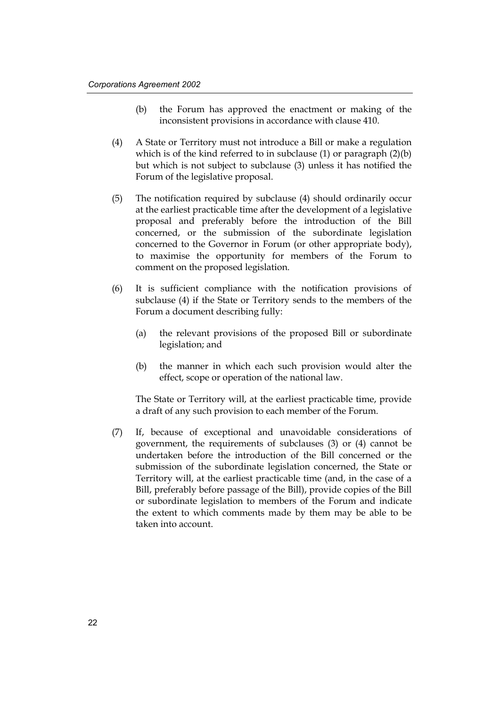- (b) the Forum has approved the enactment or making of the inconsistent provisions in accordance with clause 410.
- (4) A State or Territory must not introduce a Bill or make a regulation which is of the kind referred to in subclause (1) or paragraph (2)(b) but which is not subject to subclause (3) unless it has notified the Forum of the legislative proposal.
- (5) The notification required by subclause (4) should ordinarily occur at the earliest practicable time after the development of a legislative proposal and preferably before the introduction of the Bill concerned, or the submission of the subordinate legislation concerned to the Governor in Forum (or other appropriate body), to maximise the opportunity for members of the Forum to comment on the proposed legislation.
- (6) It is sufficient compliance with the notification provisions of subclause (4) if the State or Territory sends to the members of the Forum a document describing fully:
	- (a) the relevant provisions of the proposed Bill or subordinate legislation; and
	- (b) the manner in which each such provision would alter the effect, scope or operation of the national law.

The State or Territory will, at the earliest practicable time, provide a draft of any such provision to each member of the Forum.

(7) If, because of exceptional and unavoidable considerations of government, the requirements of subclauses (3) or (4) cannot be undertaken before the introduction of the Bill concerned or the submission of the subordinate legislation concerned, the State or Territory will, at the earliest practicable time (and, in the case of a Bill, preferably before passage of the Bill), provide copies of the Bill or subordinate legislation to members of the Forum and indicate the extent to which comments made by them may be able to be taken into account.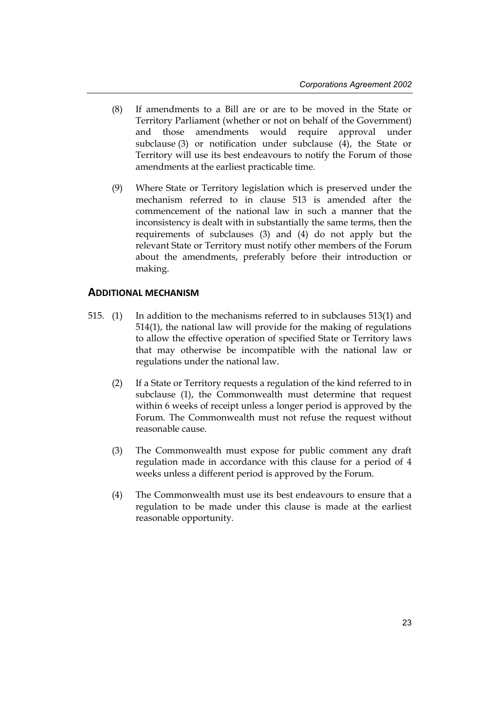- (8) If amendments to a Bill are or are to be moved in the State or Territory Parliament (whether or not on behalf of the Government) and those amendments would require approval under subclause (3) or notification under subclause (4), the State or Territory will use its best endeavours to notify the Forum of those amendments at the earliest practicable time.
- (9) Where State or Territory legislation which is preserved under the mechanism referred to in clause 513 is amended after the commencement of the national law in such a manner that the inconsistency is dealt with in substantially the same terms, then the requirements of subclauses (3) and (4) do not apply but the relevant State or Territory must notify other members of the Forum about the amendments, preferably before their introduction or making.

#### **ADDITIONAL MECHANISM**

- 515. (1) In addition to the mechanisms referred to in subclauses 513(1) and 514(1), the national law will provide for the making of regulations to allow the effective operation of specified State or Territory laws that may otherwise be incompatible with the national law or regulations under the national law.
	- (2) If a State or Territory requests a regulation of the kind referred to in subclause (1), the Commonwealth must determine that request within 6 weeks of receipt unless a longer period is approved by the Forum. The Commonwealth must not refuse the request without reasonable cause.
	- (3) The Commonwealth must expose for public comment any draft regulation made in accordance with this clause for a period of 4 weeks unless a different period is approved by the Forum.
	- (4) The Commonwealth must use its best endeavours to ensure that a regulation to be made under this clause is made at the earliest reasonable opportunity.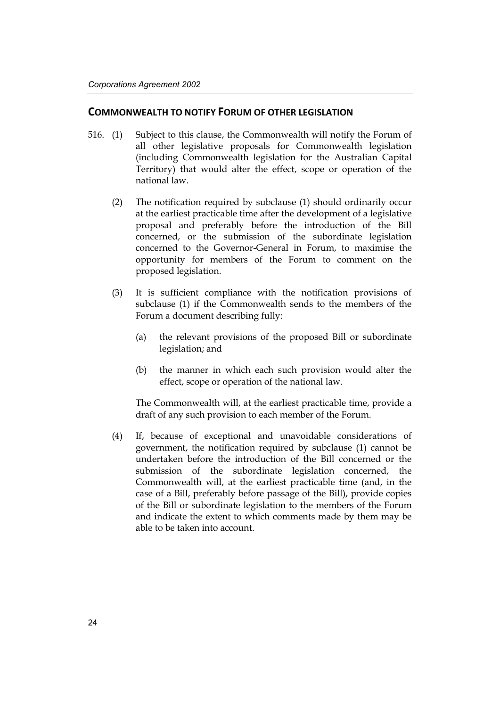#### **COMMONWEALTH TO NOTIFY FORUM OF OTHER LEGISLATION**

- 516. (1) Subject to this clause, the Commonwealth will notify the Forum of all other legislative proposals for Commonwealth legislation (including Commonwealth legislation for the Australian Capital Territory) that would alter the effect, scope or operation of the national law.
	- (2) The notification required by subclause (1) should ordinarily occur at the earliest practicable time after the development of a legislative proposal and preferably before the introduction of the Bill concerned, or the submission of the subordinate legislation concerned to the Governor-General in Forum, to maximise the opportunity for members of the Forum to comment on the proposed legislation.
	- (3) It is sufficient compliance with the notification provisions of subclause (1) if the Commonwealth sends to the members of the Forum a document describing fully:
		- (a) the relevant provisions of the proposed Bill or subordinate legislation; and
		- (b) the manner in which each such provision would alter the effect, scope or operation of the national law.

The Commonwealth will, at the earliest practicable time, provide a draft of any such provision to each member of the Forum.

(4) If, because of exceptional and unavoidable considerations of government, the notification required by subclause (1) cannot be undertaken before the introduction of the Bill concerned or the submission of the subordinate legislation concerned, the Commonwealth will, at the earliest practicable time (and, in the case of a Bill, preferably before passage of the Bill), provide copies of the Bill or subordinate legislation to the members of the Forum and indicate the extent to which comments made by them may be able to be taken into account.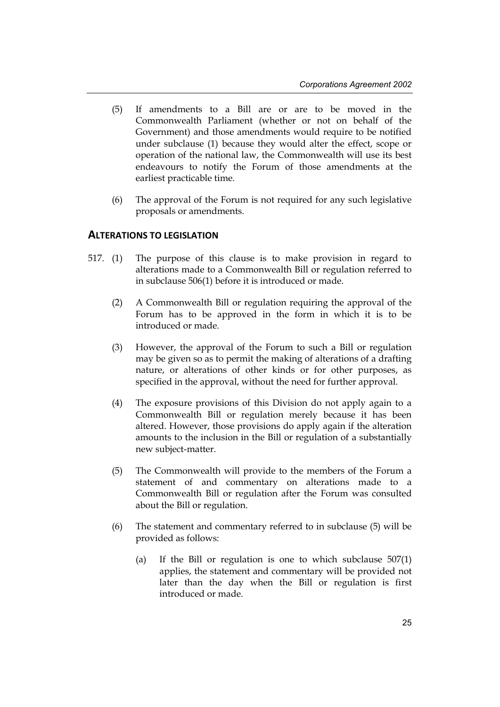- (5) If amendments to a Bill are or are to be moved in the Commonwealth Parliament (whether or not on behalf of the Government) and those amendments would require to be notified under subclause (1) because they would alter the effect, scope or operation of the national law, the Commonwealth will use its best endeavours to notify the Forum of those amendments at the earliest practicable time.
- (6) The approval of the Forum is not required for any such legislative proposals or amendments.

#### **ALTERATIONS TO LEGISLATION**

- 517. (1) The purpose of this clause is to make provision in regard to alterations made to a Commonwealth Bill or regulation referred to in subclause 506(1) before it is introduced or made.
	- (2) A Commonwealth Bill or regulation requiring the approval of the Forum has to be approved in the form in which it is to be introduced or made.
	- (3) However, the approval of the Forum to such a Bill or regulation may be given so as to permit the making of alterations of a drafting nature, or alterations of other kinds or for other purposes, as specified in the approval, without the need for further approval.
	- (4) The exposure provisions of this Division do not apply again to a Commonwealth Bill or regulation merely because it has been altered. However, those provisions do apply again if the alteration amounts to the inclusion in the Bill or regulation of a substantially new subject-matter.
	- (5) The Commonwealth will provide to the members of the Forum a statement of and commentary on alterations made to a Commonwealth Bill or regulation after the Forum was consulted about the Bill or regulation.
	- (6) The statement and commentary referred to in subclause (5) will be provided as follows:
		- (a) If the Bill or regulation is one to which subclause 507(1) applies, the statement and commentary will be provided not later than the day when the Bill or regulation is first introduced or made.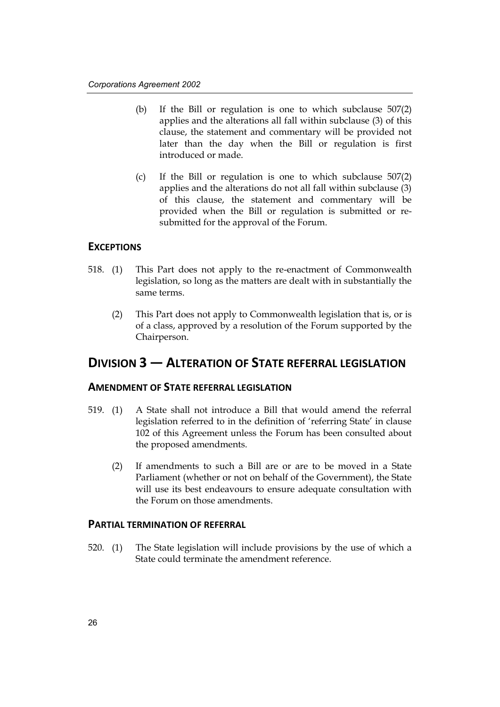- (b) If the Bill or regulation is one to which subclause 507(2) applies and the alterations all fall within subclause (3) of this clause, the statement and commentary will be provided not later than the day when the Bill or regulation is first introduced or made.
- (c) If the Bill or regulation is one to which subclause 507(2) applies and the alterations do not all fall within subclause (3) of this clause, the statement and commentary will be provided when the Bill or regulation is submitted or resubmitted for the approval of the Forum.

#### **EXCEPTIONS**

- 518. (1) This Part does not apply to the re-enactment of Commonwealth legislation, so long as the matters are dealt with in substantially the same terms.
	- (2) This Part does not apply to Commonwealth legislation that is, or is of a class, approved by a resolution of the Forum supported by the Chairperson.

### **DIVISION 3 — ALTERATION OF STATE REFERRAL LEGISLATION**

#### **AMENDMENT OF STATE REFERRAL LEGISLATION**

- 519. (1) A State shall not introduce a Bill that would amend the referral legislation referred to in the definition of 'referring State' in clause 102 of this Agreement unless the Forum has been consulted about the proposed amendments.
	- (2) If amendments to such a Bill are or are to be moved in a State Parliament (whether or not on behalf of the Government), the State will use its best endeavours to ensure adequate consultation with the Forum on those amendments.

#### **PARTIAL TERMINATION OF REFERRAL**

520. (1) The State legislation will include provisions by the use of which a State could terminate the amendment reference.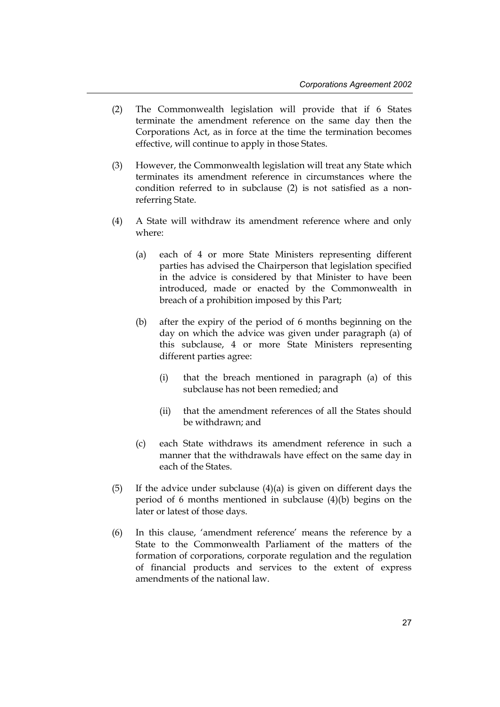- (2) The Commonwealth legislation will provide that if 6 States terminate the amendment reference on the same day then the Corporations Act, as in force at the time the termination becomes effective, will continue to apply in those States.
- (3) However, the Commonwealth legislation will treat any State which terminates its amendment reference in circumstances where the condition referred to in subclause (2) is not satisfied as a nonreferring State.
- (4) A State will withdraw its amendment reference where and only where:
	- (a) each of 4 or more State Ministers representing different parties has advised the Chairperson that legislation specified in the advice is considered by that Minister to have been introduced, made or enacted by the Commonwealth in breach of a prohibition imposed by this Part;
	- (b) after the expiry of the period of 6 months beginning on the day on which the advice was given under paragraph (a) of this subclause, 4 or more State Ministers representing different parties agree:
		- (i) that the breach mentioned in paragraph (a) of this subclause has not been remedied; and
		- (ii) that the amendment references of all the States should be withdrawn; and
	- (c) each State withdraws its amendment reference in such a manner that the withdrawals have effect on the same day in each of the States.
- (5) If the advice under subclause  $(4)(a)$  is given on different days the period of 6 months mentioned in subclause (4)(b) begins on the later or latest of those days.
- (6) In this clause, 'amendment reference' means the reference by a State to the Commonwealth Parliament of the matters of the formation of corporations, corporate regulation and the regulation of financial products and services to the extent of express amendments of the national law.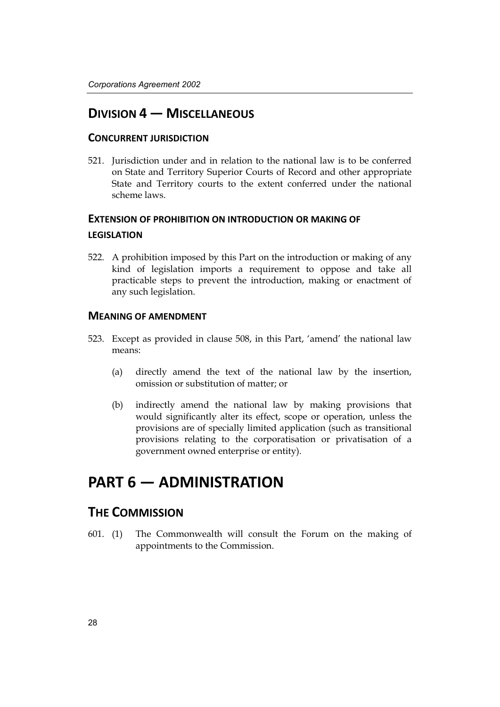### **DIVISION 4 — MISCELLANEOUS**

#### **CONCURRENT JURISDICTION**

521. Jurisdiction under and in relation to the national law is to be conferred on State and Territory Superior Courts of Record and other appropriate State and Territory courts to the extent conferred under the national scheme laws.

### **EXTENSION OF PROHIBITION ON INTRODUCTION OR MAKING OF LEGISLATION**

522. A prohibition imposed by this Part on the introduction or making of any kind of legislation imports a requirement to oppose and take all practicable steps to prevent the introduction, making or enactment of any such legislation.

#### **MEANING OF AMENDMENT**

- 523. Except as provided in clause 508, in this Part, 'amend' the national law means:
	- (a) directly amend the text of the national law by the insertion, omission or substitution of matter; or
	- (b) indirectly amend the national law by making provisions that would significantly alter its effect, scope or operation, unless the provisions are of specially limited application (such as transitional provisions relating to the corporatisation or privatisation of a government owned enterprise or entity).

## **PART 6 — ADMINISTRATION**

### **THE COMMISSION**

601. (1) The Commonwealth will consult the Forum on the making of appointments to the Commission.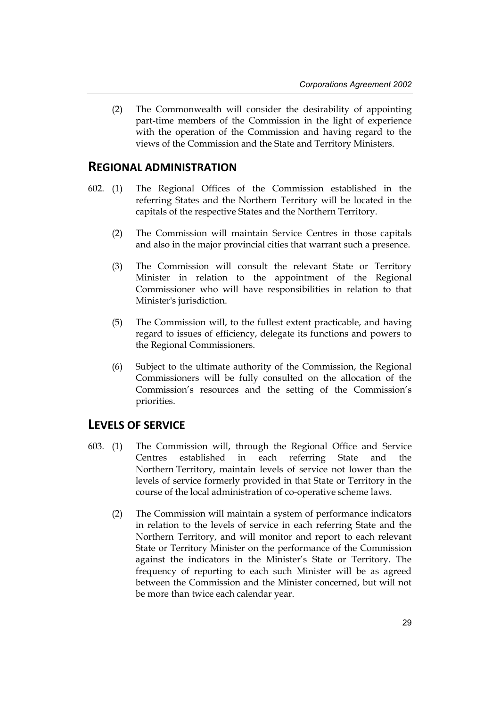(2) The Commonwealth will consider the desirability of appointing part-time members of the Commission in the light of experience with the operation of the Commission and having regard to the views of the Commission and the State and Territory Ministers.

#### **REGIONAL ADMINISTRATION**

- 602. (1) The Regional Offices of the Commission established in the referring States and the Northern Territory will be located in the capitals of the respective States and the Northern Territory.
	- (2) The Commission will maintain Service Centres in those capitals and also in the major provincial cities that warrant such a presence.
	- (3) The Commission will consult the relevant State or Territory Minister in relation to the appointment of the Regional Commissioner who will have responsibilities in relation to that Minister's jurisdiction.
	- (5) The Commission will, to the fullest extent practicable, and having regard to issues of efficiency, delegate its functions and powers to the Regional Commissioners.
	- (6) Subject to the ultimate authority of the Commission, the Regional Commissioners will be fully consulted on the allocation of the Commission's resources and the setting of the Commission's priorities.

#### **LEVELS OF SERVICE**

- 603. (1) The Commission will, through the Regional Office and Service Centres established in each referring State and the Northern Territory, maintain levels of service not lower than the levels of service formerly provided in that State or Territory in the course of the local administration of co-operative scheme laws.
	- (2) The Commission will maintain a system of performance indicators in relation to the levels of service in each referring State and the Northern Territory, and will monitor and report to each relevant State or Territory Minister on the performance of the Commission against the indicators in the Minister's State or Territory. The frequency of reporting to each such Minister will be as agreed between the Commission and the Minister concerned, but will not be more than twice each calendar year.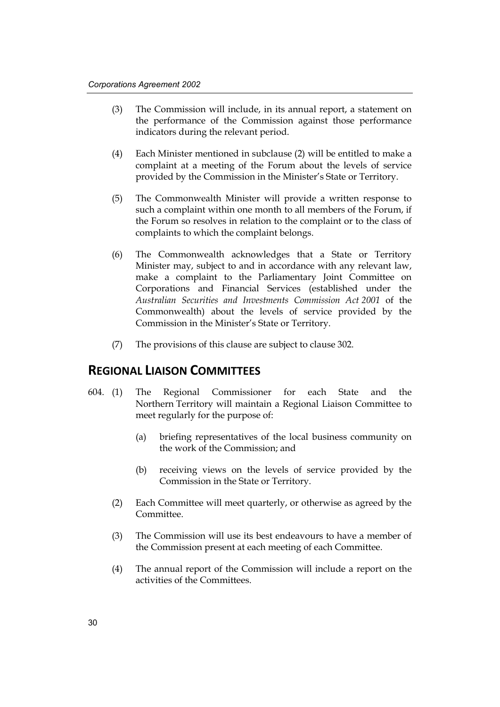- (3) The Commission will include, in its annual report, a statement on the performance of the Commission against those performance indicators during the relevant period.
- (4) Each Minister mentioned in subclause (2) will be entitled to make a complaint at a meeting of the Forum about the levels of service provided by the Commission in the Minister's State or Territory.
- (5) The Commonwealth Minister will provide a written response to such a complaint within one month to all members of the Forum, if the Forum so resolves in relation to the complaint or to the class of complaints to which the complaint belongs.
- (6) The Commonwealth acknowledges that a State or Territory Minister may, subject to and in accordance with any relevant law, make a complaint to the Parliamentary Joint Committee on Corporations and Financial Services (established under the *Australian Securities and Investments Commission Act 2001* of the Commonwealth) about the levels of service provided by the Commission in the Minister's State or Territory.
- (7) The provisions of this clause are subject to clause 302.

#### **REGIONAL LIAISON COMMITTEES**

- 604. (1) The Regional Commissioner for each State and the Northern Territory will maintain a Regional Liaison Committee to meet regularly for the purpose of:
	- (a) briefing representatives of the local business community on the work of the Commission; and
	- (b) receiving views on the levels of service provided by the Commission in the State or Territory.
	- (2) Each Committee will meet quarterly, or otherwise as agreed by the Committee.
	- (3) The Commission will use its best endeavours to have a member of the Commission present at each meeting of each Committee.
	- (4) The annual report of the Commission will include a report on the activities of the Committees.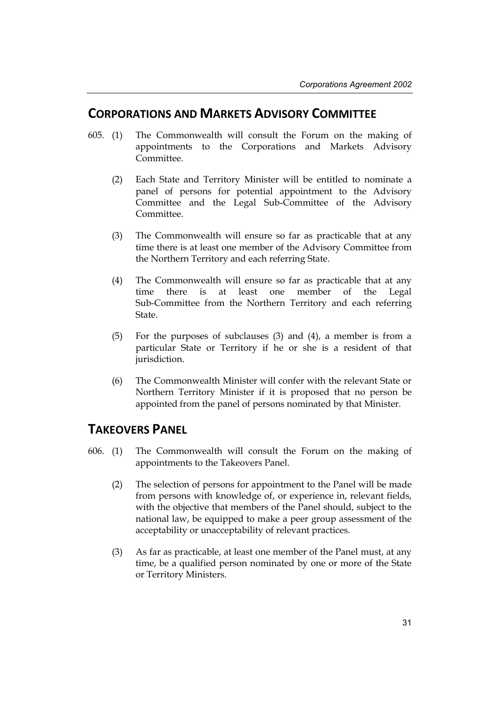### **CORPORATIONS AND MARKETS ADVISORY COMMITTEE**

- 605. (1) The Commonwealth will consult the Forum on the making of appointments to the Corporations and Markets Advisory Committee.
	- (2) Each State and Territory Minister will be entitled to nominate a panel of persons for potential appointment to the Advisory Committee and the Legal Sub-Committee of the Advisory Committee.
	- (3) The Commonwealth will ensure so far as practicable that at any time there is at least one member of the Advisory Committee from the Northern Territory and each referring State.
	- (4) The Commonwealth will ensure so far as practicable that at any time there is at least one member of the Legal Sub-Committee from the Northern Territory and each referring State.
	- (5) For the purposes of subclauses (3) and (4), a member is from a particular State or Territory if he or she is a resident of that jurisdiction.
	- (6) The Commonwealth Minister will confer with the relevant State or Northern Territory Minister if it is proposed that no person be appointed from the panel of persons nominated by that Minister.

### **TAKEOVERS PANEL**

- 606. (1) The Commonwealth will consult the Forum on the making of appointments to the Takeovers Panel.
	- (2) The selection of persons for appointment to the Panel will be made from persons with knowledge of, or experience in, relevant fields, with the objective that members of the Panel should, subject to the national law, be equipped to make a peer group assessment of the acceptability or unacceptability of relevant practices.
	- (3) As far as practicable, at least one member of the Panel must, at any time, be a qualified person nominated by one or more of the State or Territory Ministers.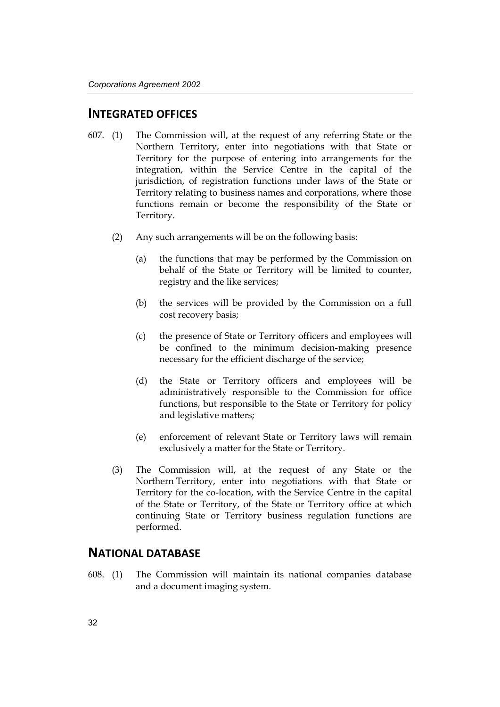#### **INTEGRATED OFFICES**

- 607. (1) The Commission will, at the request of any referring State or the Northern Territory, enter into negotiations with that State or Territory for the purpose of entering into arrangements for the integration, within the Service Centre in the capital of the jurisdiction, of registration functions under laws of the State or Territory relating to business names and corporations, where those functions remain or become the responsibility of the State or Territory.
	- (2) Any such arrangements will be on the following basis:
		- (a) the functions that may be performed by the Commission on behalf of the State or Territory will be limited to counter, registry and the like services;
		- (b) the services will be provided by the Commission on a full cost recovery basis;
		- (c) the presence of State or Territory officers and employees will be confined to the minimum decision-making presence necessary for the efficient discharge of the service;
		- (d) the State or Territory officers and employees will be administratively responsible to the Commission for office functions, but responsible to the State or Territory for policy and legislative matters;
		- (e) enforcement of relevant State or Territory laws will remain exclusively a matter for the State or Territory.
	- (3) The Commission will, at the request of any State or the Northern Territory, enter into negotiations with that State or Territory for the co-location, with the Service Centre in the capital of the State or Territory, of the State or Territory office at which continuing State or Territory business regulation functions are performed.

#### **NATIONAL DATABASE**

608. (1) The Commission will maintain its national companies database and a document imaging system.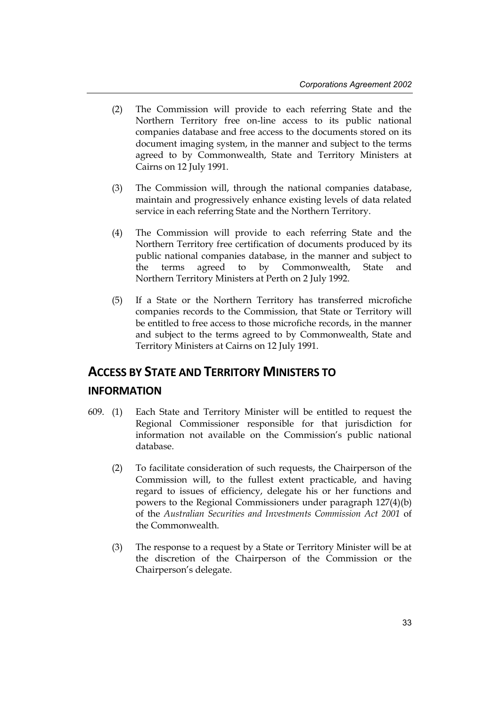- (2) The Commission will provide to each referring State and the Northern Territory free on-line access to its public national companies database and free access to the documents stored on its document imaging system, in the manner and subject to the terms agreed to by Commonwealth, State and Territory Ministers at Cairns on 12 July 1991.
- (3) The Commission will, through the national companies database, maintain and progressively enhance existing levels of data related service in each referring State and the Northern Territory.
- (4) The Commission will provide to each referring State and the Northern Territory free certification of documents produced by its public national companies database, in the manner and subject to the terms agreed to by Commonwealth, State and Northern Territory Ministers at Perth on 2 July 1992.
- (5) If a State or the Northern Territory has transferred microfiche companies records to the Commission, that State or Territory will be entitled to free access to those microfiche records, in the manner and subject to the terms agreed to by Commonwealth, State and Territory Ministers at Cairns on 12 July 1991.

# **ACCESS BY STATE AND TERRITORY MINISTERS TO**

#### **INFORMATION**

- 609. (1) Each State and Territory Minister will be entitled to request the Regional Commissioner responsible for that jurisdiction for information not available on the Commission's public national database.
	- (2) To facilitate consideration of such requests, the Chairperson of the Commission will, to the fullest extent practicable, and having regard to issues of efficiency, delegate his or her functions and powers to the Regional Commissioners under paragraph 127(4)(b) of the *Australian Securities and Investments Commission Act 2001* of the Commonwealth.
	- (3) The response to a request by a State or Territory Minister will be at the discretion of the Chairperson of the Commission or the Chairperson's delegate.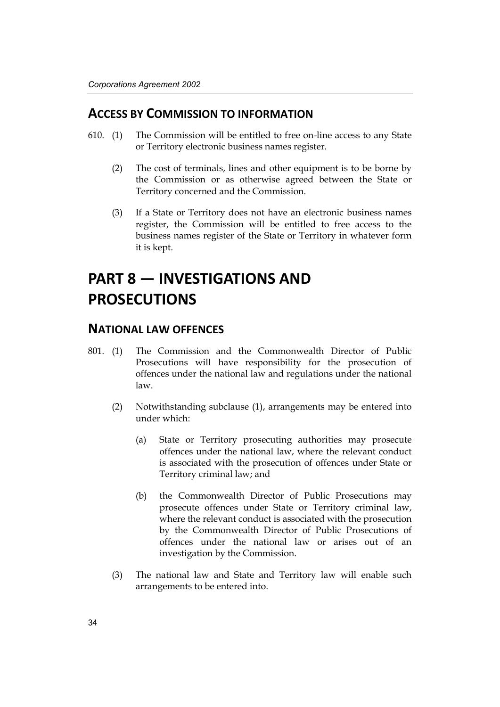### **ACCESS BY COMMISSION TO INFORMATION**

- 610. (1) The Commission will be entitled to free on-line access to any State or Territory electronic business names register.
	- (2) The cost of terminals, lines and other equipment is to be borne by the Commission or as otherwise agreed between the State or Territory concerned and the Commission.
	- (3) If a State or Territory does not have an electronic business names register, the Commission will be entitled to free access to the business names register of the State or Territory in whatever form it is kept.

# **PART 8 — INVESTIGATIONS AND PROSECUTIONS**

### **NATIONAL LAW OFFENCES**

- 801. (1) The Commission and the Commonwealth Director of Public Prosecutions will have responsibility for the prosecution of offences under the national law and regulations under the national law.
	- (2) Notwithstanding subclause (1), arrangements may be entered into under which:
		- (a) State or Territory prosecuting authorities may prosecute offences under the national law, where the relevant conduct is associated with the prosecution of offences under State or Territory criminal law; and
		- (b) the Commonwealth Director of Public Prosecutions may prosecute offences under State or Territory criminal law, where the relevant conduct is associated with the prosecution by the Commonwealth Director of Public Prosecutions of offences under the national law or arises out of an investigation by the Commission.
	- (3) The national law and State and Territory law will enable such arrangements to be entered into.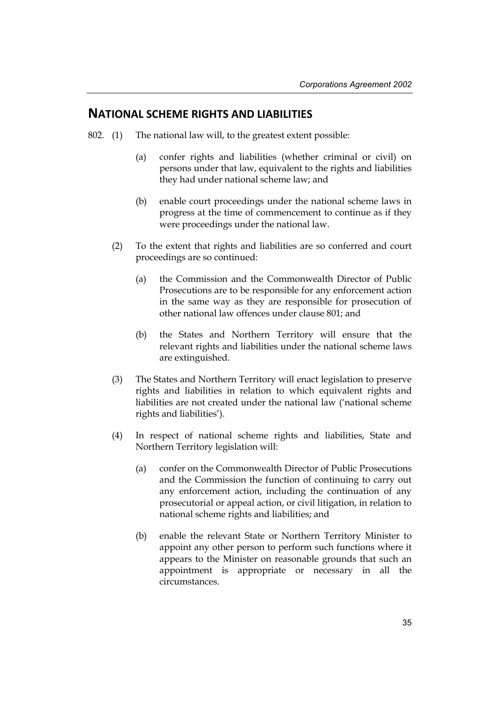#### **NATIONAL SCHEME RIGHTS AND LIABILITIES**

- 802. (1) The national law will, to the greatest extent possible:
	- (a) confer rights and liabilities (whether criminal or civil) on persons under that law, equivalent to the rights and liabilities they had under national scheme law; and
	- (b) enable court proceedings under the national scheme laws in progress at the time of commencement to continue as if they were proceedings under the national law.
	- (2) To the extent that rights and liabilities are so conferred and court proceedings are so continued:
		- (a) the Commission and the Commonwealth Director of Public Prosecutions are to be responsible for any enforcement action in the same way as they are responsible for prosecution of other national law offences under clause 801; and
		- (b) the States and Northern Territory will ensure that the relevant rights and liabilities under the national scheme laws are extinguished.
	- (3) The States and Northern Territory will enact legislation to preserve rights and liabilities in relation to which equivalent rights and liabilities are not created under the national law ('national scheme rights and liabilities').
	- (4) In respect of national scheme rights and liabilities, State and Northern Territory legislation will:
		- (a) confer on the Commonwealth Director of Public Prosecutions and the Commission the function of continuing to carry out any enforcement action, including the continuation of any prosecutorial or appeal action, or civil litigation, in relation to national scheme rights and liabilities; and
		- (b) enable the relevant State or Northern Territory Minister to appoint any other person to perform such functions where it appears to the Minister on reasonable grounds that such an appointment is appropriate or necessary in all the circumstances.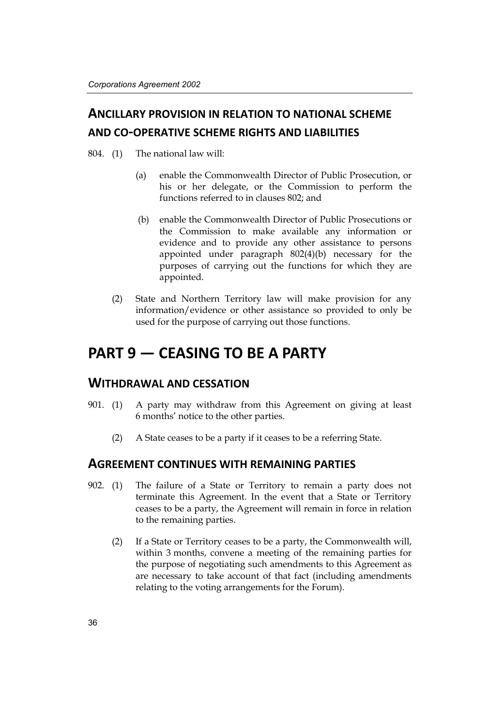## **ANCILLARY PROVISION IN RELATION TO NATIONAL SCHEME AND CO-OPERATIVE SCHEME RIGHTS AND LIABILITIES**

804. (1) The national law will:

- (a) enable the Commonwealth Director of Public Prosecution, or his or her delegate, or the Commission to perform the functions referred to in clauses 802; and
- (b) enable the Commonwealth Director of Public Prosecutions or the Commission to make available any information or evidence and to provide any other assistance to persons appointed under paragraph 802(4)(b) necessary for the purposes of carrying out the functions for which they are appointed.
- (2) State and Northern Territory law will make provision for any information/evidence or other assistance so provided to only be used for the purpose of carrying out those functions.

# **PART 9 — CEASING TO BE A PARTY**

### **WITHDRAWAL AND CESSATION**

- 901. (1) A party may withdraw from this Agreement on giving at least 6 months' notice to the other parties.
	- (2) A State ceases to be a party if it ceases to be a referring State.

#### **AGREEMENT CONTINUES WITH REMAINING PARTIES**

- 902. (1) The failure of a State or Territory to remain a party does not terminate this Agreement. In the event that a State or Territory ceases to be a party, the Agreement will remain in force in relation to the remaining parties.
	- (2) If a State or Territory ceases to be a party, the Commonwealth will, within 3 months, convene a meeting of the remaining parties for the purpose of negotiating such amendments to this Agreement as are necessary to take account of that fact (including amendments relating to the voting arrangements for the Forum).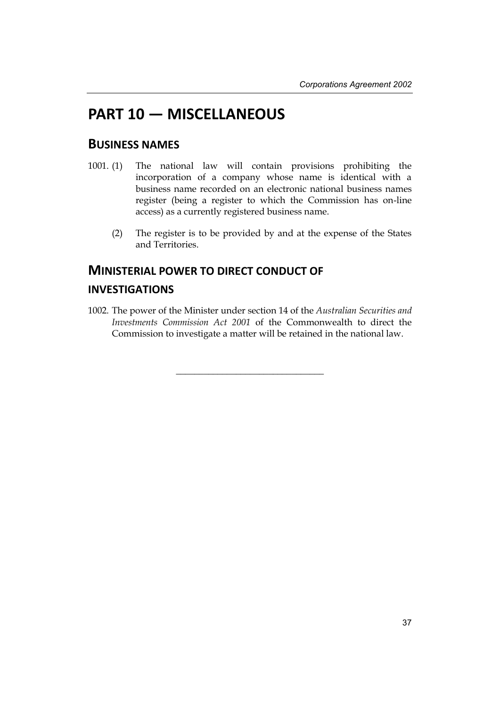# **PART 10 — MISCELLANEOUS**

### **BUSINESS NAMES**

- 1001. (1) The national law will contain provisions prohibiting the incorporation of a company whose name is identical with a business name recorded on an electronic national business names register (being a register to which the Commission has on-line access) as a currently registered business name.
	- (2) The register is to be provided by and at the expense of the States and Territories.

## **MINISTERIAL POWER TO DIRECT CONDUCT OF INVESTIGATIONS**

1002. The power of the Minister under section 14 of the *Australian Securities and Investments Commission Act 2001* of the Commonwealth to direct the Commission to investigate a matter will be retained in the national law.

 $\_$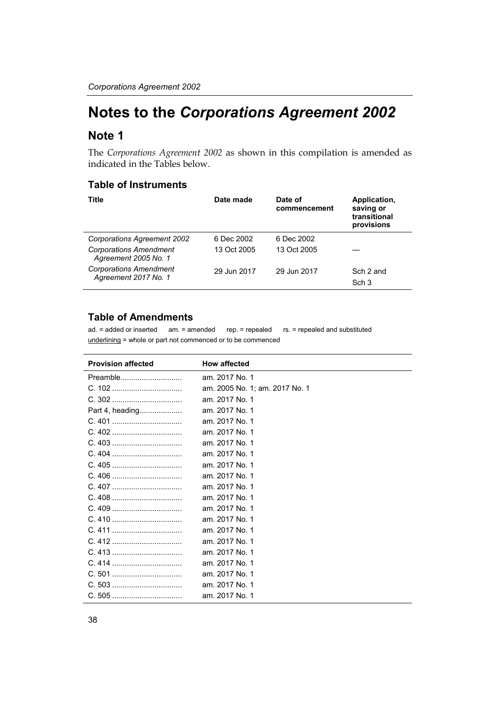# **Notes to the** *Corporations Agreement 2002*

### **Note 1**

The *Corporations Agreement 2002* as shown in this compilation is amended as indicated in the Tables below.

#### **Table of Instruments**

| Title                                                 | Date made   | Date of<br>commencement | Application,<br>saving or<br>transitional<br>provisions |
|-------------------------------------------------------|-------------|-------------------------|---------------------------------------------------------|
| Corporations Agreement 2002                           | 6 Dec 2002  | 6 Dec 2002              |                                                         |
| <b>Corporations Amendment</b><br>Agreement 2005 No. 1 | 13 Oct 2005 | 13 Oct 2005             |                                                         |
| <b>Corporations Amendment</b><br>Agreement 2017 No. 1 | 29 Jun 2017 | 29 Jun 2017             | Sch 2 and<br>Sch <sub>3</sub>                           |

#### **Table of Amendments**

ad. = added or inserted am. = amended rep. = repealed rs. = repealed and substituted underlining = whole or part not commenced or to be commenced

| <b>Provision affected</b> | <b>How affected</b>            |
|---------------------------|--------------------------------|
| Preamble                  | am. 2017 No. 1                 |
|                           | am. 2005 No. 1; am. 2017 No. 1 |
|                           | am. 2017 No. 1                 |
| Part 4, heading           | am. 2017 No. 1                 |
|                           | am. 2017 No. 1                 |
|                           | am. 2017 No. 1                 |
|                           | am. 2017 No. 1                 |
|                           | am. 2017 No. 1                 |
|                           | am. 2017 No. 1                 |
|                           | am. 2017 No. 1                 |
|                           | am. 2017 No. 1                 |
|                           | am. 2017 No. 1                 |
|                           | am. 2017 No. 1                 |
|                           | am. 2017 No. 1                 |
|                           | am. 2017 No. 1                 |
|                           | am. 2017 No. 1                 |
|                           | am. 2017 No. 1                 |
|                           | am. 2017 No. 1                 |
|                           | am. 2017 No. 1                 |
|                           | am. 2017 No. 1                 |
|                           | am. 2017 No. 1                 |